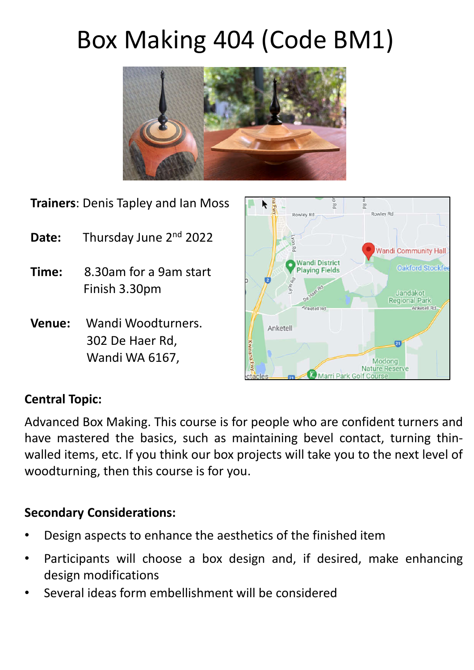# Box Making 404 (Code BM1)



**Trainers**: Denis Tapley and Ian Moss

- **Date:** Thursday June 2nd 2022
- **Time:** 8.30am for a 9am start Finish 3.30pm
- **Venue:** Wandi Woodturners. 302 De Haer Rd, Wandi WA 6167,



## **Central Topic:**

Advanced Box Making. This course is for people who are confident turners and have mastered the basics, such as maintaining bevel contact, turning thinwalled items, etc. If you think our box projects will take you to the next level of woodturning, then this course is for you.

### **Secondary Considerations:**

- Design aspects to enhance the aesthetics of the finished item
- Participants will choose a box design and, if desired, make enhancing design modifications
- Several ideas form embellishment will be considered